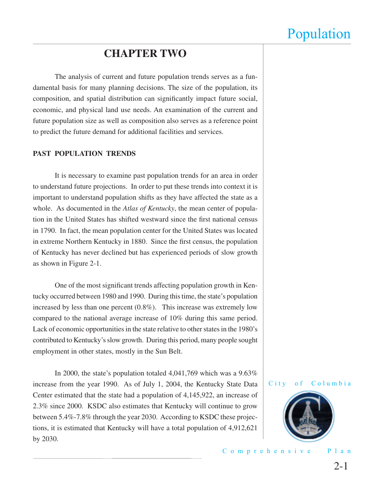### **CHAPTER TWO**

 The analysis of current and future population trends serves as a fundamental basis for many planning decisions. The size of the population, its composition, and spatial distribution can significantly impact future social, economic, and physical land use needs. An examination of the current and future population size as well as composition also serves as a reference point to predict the future demand for additional facilities and services.

#### **PAST POPULATION TRENDS**

 It is necessary to examine past population trends for an area in order to understand future projections. In order to put these trends into context it is important to understand population shifts as they have affected the state as a whole. As documented in the *Atlas of Kentucky*, the mean center of population in the United States has shifted westward since the first national census in 1790. In fact, the mean population center for the United States was located in extreme Northern Kentucky in 1880. Since the first census, the population of Kentucky has never declined but has experienced periods of slow growth as shown in Figure 2-1.

One of the most significant trends affecting population growth in Kentucky occurred between 1980 and 1990. During this time, the state's population increased by less than one percent (0.8%). This increase was extremely low compared to the national average increase of 10% during this same period. Lack of economic opportunities in the state relative to other states in the 1980's contributed to Kentucky's slow growth. During this period, many people sought employment in other states, mostly in the Sun Belt.

 In 2000, the state's population totaled 4,041,769 which was a 9.63% increase from the year 1990. As of July 1, 2004, the Kentucky State Data Center estimated that the state had a population of 4,145,922, an increase of 2.3% since 2000. KSDC also estimates that Kentucky will continue to grow between 5.4%-7.8% through the year 2030. According to KSDC these projections, it is estimated that Kentucky will have a total population of 4,912,621 by 2030.



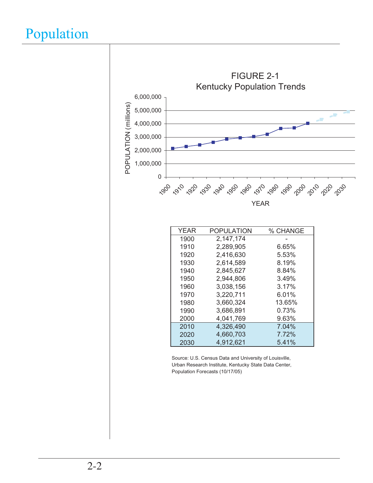

Source: U.S. Census Data and University of Louisville, Population Forecasts (10/17/05) Urban Research Institute, Kentucky State Data Center,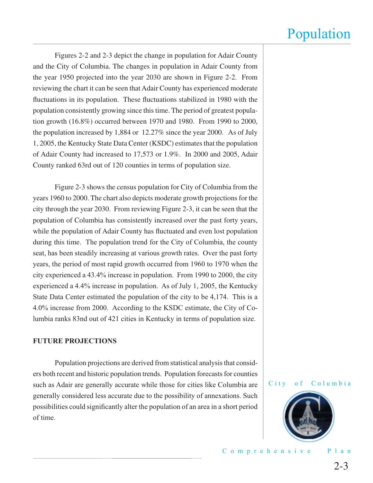Figures 2-2 and 2-3 depict the change in population for Adair County and the City of Columbia. The changes in population in Adair County from the year 1950 projected into the year 2030 are shown in Figure 2-2. From reviewing the chart it can be seen that Adair County has experienced moderate fluctuations in its population. These fluctuations stabilized in 1980 with the population consistently growing since this time. The period of greatest population growth (16.8%) occurred between 1970 and 1980. From 1990 to 2000, the population increased by 1,884 or 12.27% since the year 2000. As of July 1, 2005, the Kentucky State Data Center (KSDC) estimates that the population of Adair County had increased to 17,573 or 1.9%. In 2000 and 2005, Adair County ranked 63rd out of 120 counties in terms of population size.

 Figure 2-3 shows the census population for City of Columbia from the years 1960 to 2000. The chart also depicts moderate growth projections for the city through the year 2030. From reviewing Figure 2-3, it can be seen that the population of Columbia has consistently increased over the past forty years, while the population of Adair County has fluctuated and even lost population during this time. The population trend for the City of Columbia, the county seat, has been steadily increasing at various growth rates. Over the past forty years, the period of most rapid growth occurred from 1960 to 1970 when the city experienced a 43.4% increase in population. From 1990 to 2000, the city experienced a 4.4% increase in population. As of July 1, 2005, the Kentucky State Data Center estimated the population of the city to be 4,174. This is a 4.0% increase from 2000. According to the KSDC estimate, the City of Columbia ranks 83nd out of 421 cities in Kentucky in terms of population size.

#### **FUTURE PROJECTIONS**

 Population projections are derived from statistical analysis that considers both recent and historic population trends. Population forecasts for counties such as Adair are generally accurate while those for cities like Columbia are generally considered less accurate due to the possibility of annexations. Such possibilities could significantly alter the population of an area in a short period of time.



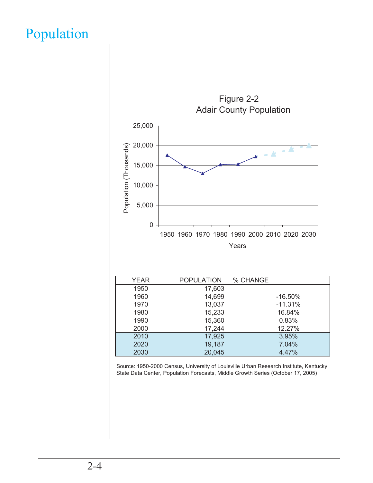

Source: 1950-2000 Census, University of Louisville Urban Research Institute, Kentucky State Data Center, Population Forecasts, Middle Growth Series (October 17, 2005)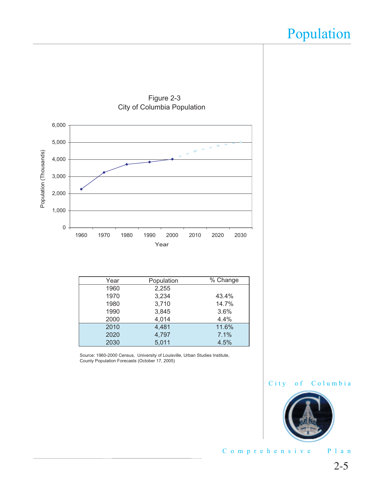

Figure 2-3

| Year | Population | % Change |
|------|------------|----------|
| 1960 | 2,255      |          |
| 1970 | 3,234      | 43.4%    |
| 1980 | 3,710      | 14.7%    |
| 1990 | 3,845      | 3.6%     |
| 2000 | 4,014      | 4.4%     |
| 2010 | 4,481      | 11.6%    |
| 2020 | 4,797      | 7.1%     |
| 2030 | 5,011      | 4.5%     |
|      |            |          |

Source: 1960-2000 Census, University of Louisville, Urban Studies Institute, County Population Forecasts (October 17, 2005)



Comprehensive Plan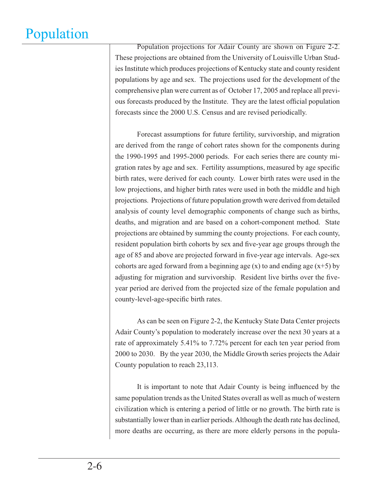Population projections for Adair County are shown on Figure 2-2. These projections are obtained from the University of Louisville Urban Studies Institute which produces projections of Kentucky state and county resident populations by age and sex. The projections used for the development of the comprehensive plan were current as of October 17, 2005 and replace all previous forecasts produced by the Institute. They are the latest official population forecasts since the 2000 U.S. Census and are revised periodically.

 Forecast assumptions for future fertility, survivorship, and migration are derived from the range of cohort rates shown for the components during the 1990-1995 and 1995-2000 periods. For each series there are county migration rates by age and sex. Fertility assumptions, measured by age specific birth rates, were derived for each county. Lower birth rates were used in the low projections, and higher birth rates were used in both the middle and high projections. Projections of future population growth were derived from detailed analysis of county level demographic components of change such as births, deaths, and migration and are based on a cohort-component method. State projections are obtained by summing the county projections. For each county, resident population birth cohorts by sex and five-year age groups through the age of 85 and above are projected forward in five-year age intervals. Age-sex cohorts are aged forward from a beginning age  $(x)$  to and ending age  $(x+5)$  by adjusting for migration and survivorship. Resident live births over the fiveyear period are derived from the projected size of the female population and county-level-age-specific birth rates.

 As can be seen on Figure 2-2, the Kentucky State Data Center projects Adair County's population to moderately increase over the next 30 years at a rate of approximately 5.41% to 7.72% percent for each ten year period from 2000 to 2030. By the year 2030, the Middle Growth series projects the Adair County population to reach 23,113.

It is important to note that Adair County is being influenced by the same population trends as the United States overall as well as much of western civilization which is entering a period of little or no growth. The birth rate is substantially lower than in earlier periods. Although the death rate has declined, more deaths are occurring, as there are more elderly persons in the popula-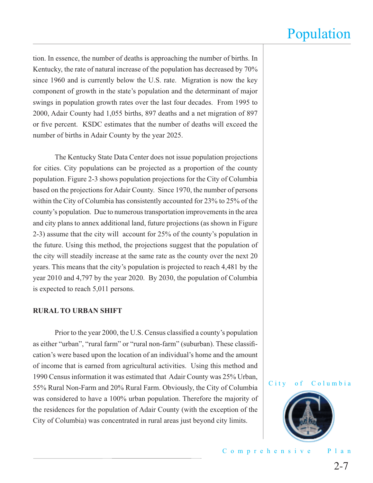tion. In essence, the number of deaths is approaching the number of births. In Kentucky, the rate of natural increase of the population has decreased by 70% since 1960 and is currently below the U.S. rate. Migration is now the key component of growth in the state's population and the determinant of major swings in population growth rates over the last four decades. From 1995 to 2000, Adair County had 1,055 births, 897 deaths and a net migration of 897 or five percent. KSDC estimates that the number of deaths will exceed the number of births in Adair County by the year 2025.

 The Kentucky State Data Center does not issue population projections for cities. City populations can be projected as a proportion of the county population. Figure 2-3 shows population projections for the City of Columbia based on the projections for Adair County. Since 1970, the number of persons within the City of Columbia has consistently accounted for 23% to 25% of the county's population. Due to numerous transportation improvements in the area and city plans to annex additional land, future projections (as shown in Figure 2-3) assume that the city will account for 25% of the county's population in the future. Using this method, the projections suggest that the population of the city will steadily increase at the same rate as the county over the next 20 years. This means that the city's population is projected to reach 4,481 by the year 2010 and 4,797 by the year 2020. By 2030, the population of Columbia is expected to reach 5,011 persons.

#### **RURAL TO URBAN SHIFT**

Prior to the year 2000, the U.S. Census classified a county's population as either "urban", "rural farm" or "rural non-farm" (suburban). These classifi cation's were based upon the location of an individual's home and the amount of income that is earned from agricultural activities. Using this method and 1990 Census information it was estimated that Adair County was 25% Urban, 55% Rural Non-Farm and 20% Rural Farm. Obviously, the City of Columbia was considered to have a 100% urban population. Therefore the majority of the residences for the population of Adair County (with the exception of the City of Columbia) was concentrated in rural areas just beyond city limits.



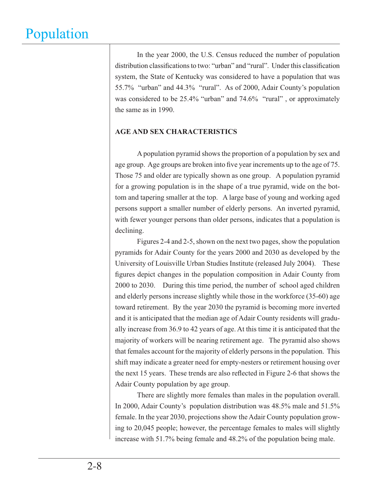In the year 2000, the U.S. Census reduced the number of population distribution classifications to two: "urban" and "rural". Under this classification system, the State of Kentucky was considered to have a population that was 55.7% "urban" and 44.3% "rural". As of 2000, Adair County's population was considered to be 25.4% "urban" and 74.6% "rural", or approximately the same as in 1990.

### **AGE AND SEX CHARACTERISTICS**

 A population pyramid shows the proportion of a population by sex and age group. Age groups are broken into five year increments up to the age of 75. Those 75 and older are typically shown as one group. A population pyramid for a growing population is in the shape of a true pyramid, wide on the bottom and tapering smaller at the top. A large base of young and working aged persons support a smaller number of elderly persons. An inverted pyramid, with fewer younger persons than older persons, indicates that a population is declining.

 Figures 2-4 and 2-5, shown on the next two pages, show the population pyramids for Adair County for the years 2000 and 2030 as developed by the University of Louisville Urban Studies Institute (released July 2004). These figures depict changes in the population composition in Adair County from 2000 to 2030. During this time period, the number of school aged children and elderly persons increase slightly while those in the workforce (35-60) age toward retirement. By the year 2030 the pyramid is becoming more inverted and it is anticipated that the median age of Adair County residents will gradually increase from 36.9 to 42 years of age. At this time it is anticipated that the majority of workers will be nearing retirement age. The pyramid also shows that females account for the majority of elderly persons in the population. This shift may indicate a greater need for empty-nesters or retirement housing over the next 15 years. These trends are also reflected in Figure 2-6 that shows the Adair County population by age group.

 There are slightly more females than males in the population overall. In 2000, Adair County's population distribution was 48.5% male and 51.5% female. In the year 2030, projections show the Adair County population growing to 20,045 people; however, the percentage females to males will slightly increase with 51.7% being female and 48.2% of the population being male.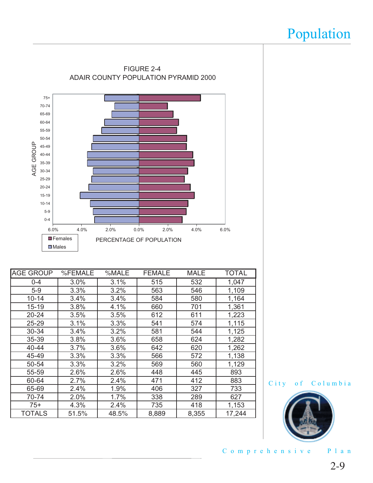

| <b>AGE GROUP</b> | %FEMALE | %MALE | <b>FEMALE</b> | <b>MALE</b> | <b>TOTAL</b> |
|------------------|---------|-------|---------------|-------------|--------------|
| $0 - 4$          | 3.0%    | 3.1%  | 515           | 532         | 1,047        |
| $5-9$            | 3.3%    | 3.2%  | 563           | 546         | 1,109        |
| $10 - 14$        | 3.4%    | 3.4%  | 584           | 580         | 1,164        |
| $15 - 19$        | 3.8%    | 4.1%  | 660           | 701         | 1,361        |
| $20 - 24$        | 3.5%    | 3.5%  | 612           | 611         | 1,223        |
| 25-29            | 3.1%    | 3.3%  | 541           | 574         | 1,115        |
| 30-34            | 3.4%    | 3.2%  | 581           | 544         | 1,125        |
| 35-39            | 3.8%    | 3.6%  | 658           | 624         | 1,282        |
| 40-44            | 3.7%    | 3.6%  | 642           | 620         | 1,262        |
| 45-49            | 3.3%    | 3.3%  | 566           | 572         | 1,138        |
| 50-54            | 3.3%    | 3.2%  | 569           | 560         | 1,129        |
| 55-59            | 2.6%    | 2.6%  | 448           | 445         | 893          |
| 60-64            | 2.7%    | 2.4%  | 471           | 412         | 883          |
| 65-69            | 2.4%    | 1.9%  | 406           | 327         | 733          |
| 70-74            | 2.0%    | 1.7%  | 338           | 289         | 627          |
| $75+$            | 4.3%    | 2.4%  | 735           | 418         | 1,153        |
| <b>TOTALS</b>    | 51.5%   | 48.5% | 8,889         | 8,355       | 17,244       |





Comprehensive Plan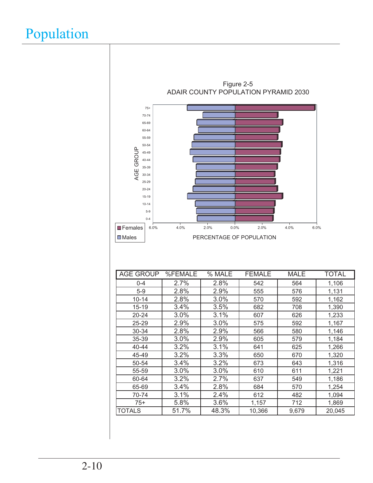

| <b>AGE GROUP</b> | %FEMALE | % MALE | <b>FEMALE</b> | <b>MALE</b> | <b>TOTAL</b> |
|------------------|---------|--------|---------------|-------------|--------------|
| $0 - 4$          | 2.7%    | 2.8%   | 542           | 564         | 1,106        |
| $5-9$            | 2.8%    | 2.9%   | 555           | 576         | 1,131        |
| $10 - 14$        | 2.8%    | 3.0%   | 570           | 592         | 1,162        |
| $15 - 19$        | 3.4%    | 3.5%   | 682           | 708         | 1,390        |
| 20-24            | 3.0%    | 3.1%   | 607           | 626         | 1,233        |
| 25-29            | 2.9%    | 3.0%   | 575           | 592         | 1,167        |
| 30-34            | 2.8%    | 2.9%   | 566           | 580         | 1,146        |
| 35-39            | 3.0%    | 2.9%   | 605           | 579         | 1,184        |
| 40-44            | 3.2%    | 3.1%   | 641           | 625         | 1,266        |
| 45-49            | 3.2%    | 3.3%   | 650           | 670         | 1,320        |
| 50-54            | 3.4%    | 3.2%   | 673           | 643         | 1,316        |
| 55-59            | 3.0%    | 3.0%   | 610           | 611         | 1,221        |
| 60-64            | 3.2%    | 2.7%   | 637           | 549         | 1,186        |
| 65-69            | 3.4%    | 2.8%   | 684           | 570         | 1,254        |
| 70-74            | 3.1%    | 2.4%   | 612           | 482         | 1,094        |
| $75+$            | 5.8%    | 3.6%   | 1,157         | 712         | 1,869        |
| <b>TOTALS</b>    | 51.7%   | 48.3%  | 10,366        | 9,679       | 20,045       |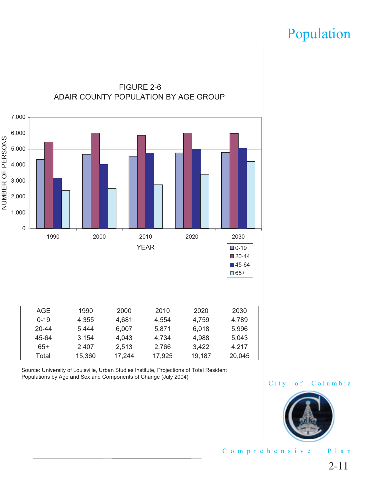

Source: University of Louisville, Urban Studies Institute, Projections of Total Resident Populations by Age and Sex and Components of Change (July 2004)





Comprehensive Plan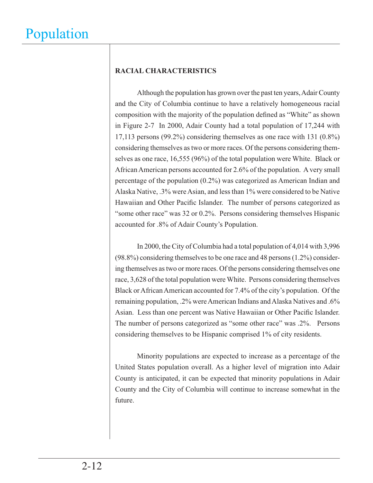### **RACIAL CHARACTERISTICS**

 Although the population has grown over the past ten years, Adair County and the City of Columbia continue to have a relatively homogeneous racial composition with the majority of the population defined as "White" as shown in Figure 2-7 In 2000, Adair County had a total population of 17,244 with 17,113 persons (99.2%) considering themselves as one race with 131 (0.8%) considering themselves as two or more races. Of the persons considering themselves as one race, 16,555 (96%) of the total population were White. Black or African American persons accounted for 2.6% of the population. A very small percentage of the population (0.2%) was categorized as American Indian and Alaska Native, .3% were Asian, and less than 1% were considered to be Native Hawaiian and Other Pacific Islander. The number of persons categorized as "some other race" was 32 or 0.2%. Persons considering themselves Hispanic accounted for .8% of Adair County's Population.

 In 2000, the City of Columbia had a total population of 4,014 with 3,996 (98.8%) considering themselves to be one race and 48 persons (1.2%) considering themselves as two or more races. Of the persons considering themselves one race, 3,628 of the total population were White. Persons considering themselves Black or African American accounted for 7.4% of the city's population. Of the remaining population, .2% were American Indians and Alaska Natives and .6% Asian. Less than one percent was Native Hawaiian or Other Pacific Islander. The number of persons categorized as "some other race" was .2%. Persons considering themselves to be Hispanic comprised 1% of city residents.

 Minority populations are expected to increase as a percentage of the United States population overall. As a higher level of migration into Adair County is anticipated, it can be expected that minority populations in Adair County and the City of Columbia will continue to increase somewhat in the future.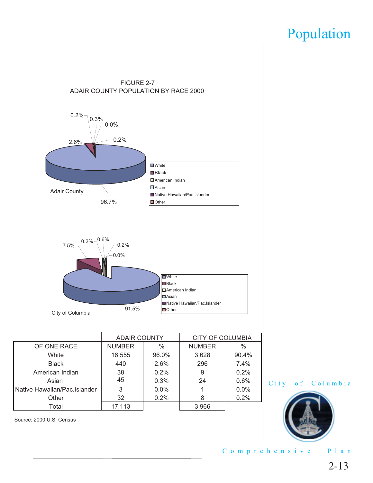

Other 32 0.2% 8 0.2%

Total 17,113 | 3,966

City of Columbia



Comprehensive Plan

Source: 2000 U.S. Census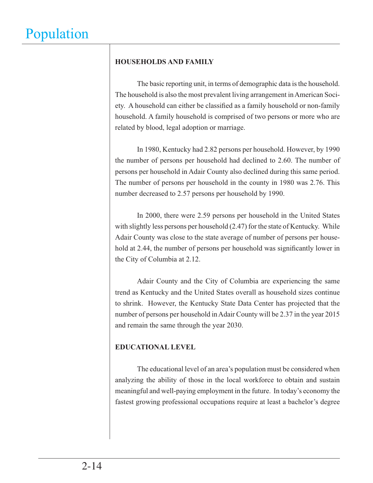### **HOUSEHOLDS AND FAMILY**

 The basic reporting unit, in terms of demographic data is the household. The household is also the most prevalent living arrangement in American Society. A household can either be classified as a family household or non-family household. A family household is comprised of two persons or more who are related by blood, legal adoption or marriage.

 In 1980, Kentucky had 2.82 persons per household. However, by 1990 the number of persons per household had declined to 2.60. The number of persons per household in Adair County also declined during this same period. The number of persons per household in the county in 1980 was 2.76. This number decreased to 2.57 persons per household by 1990.

 In 2000, there were 2.59 persons per household in the United States with slightly less persons per household  $(2.47)$  for the state of Kentucky. While Adair County was close to the state average of number of persons per household at 2.44, the number of persons per household was significantly lower in the City of Columbia at 2.12.

 Adair County and the City of Columbia are experiencing the same trend as Kentucky and the United States overall as household sizes continue to shrink. However, the Kentucky State Data Center has projected that the number of persons per household in Adair County will be 2.37 in the year 2015 and remain the same through the year 2030.

### **EDUCATIONAL LEVEL**

 The educational level of an area's population must be considered when analyzing the ability of those in the local workforce to obtain and sustain meaningful and well-paying employment in the future. In today's economy the fastest growing professional occupations require at least a bachelor's degree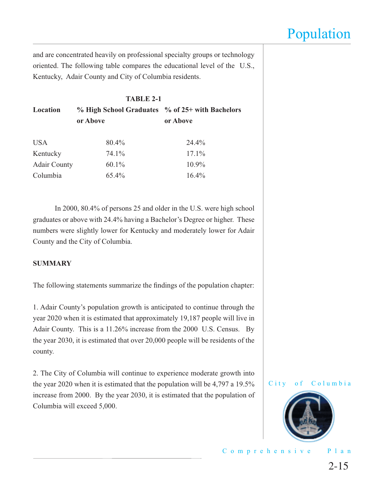and are concentrated heavily on professional specialty groups or technology oriented. The following table compares the educational level of the U.S., Kentucky, Adair County and City of Columbia residents.

|                     | <b>TABLE 2-1</b>                                |          |
|---------------------|-------------------------------------------------|----------|
| Location            | % High School Graduates % of 25+ with Bachelors |          |
|                     | or Above                                        | or Above |
| <b>USA</b>          | 80.4%                                           | 24.4%    |
| Kentucky            | 74.1%                                           | $17.1\%$ |
| <b>Adair County</b> | $60.1\%$                                        | $10.9\%$ |
| Columbia            | 65.4%                                           | $16.4\%$ |

 In 2000, 80.4% of persons 25 and older in the U.S. were high school graduates or above with 24.4% having a Bachelor's Degree or higher. These numbers were slightly lower for Kentucky and moderately lower for Adair County and the City of Columbia.

#### **SUMMARY**

The following statements summarize the findings of the population chapter:

1. Adair County's population growth is anticipated to continue through the year 2020 when it is estimated that approximately 19,187 people will live in Adair County. This is a 11.26% increase from the 2000 U.S. Census. By the year 2030, it is estimated that over 20,000 people will be residents of the county.

2. The City of Columbia will continue to experience moderate growth into the year 2020 when it is estimated that the population will be 4,797 a 19.5% increase from 2000. By the year 2030, it is estimated that the population of Columbia will exceed 5,000.